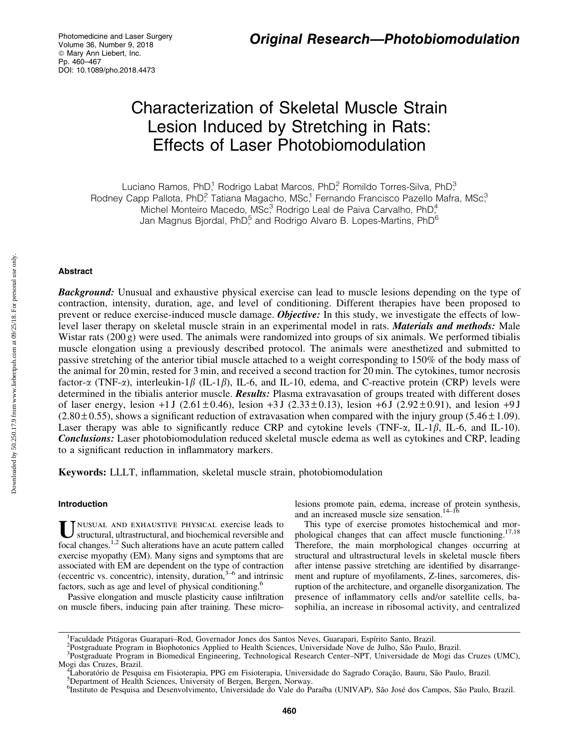# Characterization of Skeletal Muscle Strain Lesion Induced by Stretching in Rats: Effects of Laser Photobiomodulation

Luciano Ramos, PhD,<sup>1</sup> Rodrigo Labat Marcos, PhD,<sup>2</sup> Romildo Torres-Silva, PhD,<sup>3</sup> Rodney Capp Pallota, PhD<sup>2</sup> Tatiana Magacho, MSc<sup>1</sup> Fernando Francisco Pazello Mafra, MSc<sup>3</sup> Michel Monteiro Macedo, MSc<sup>3</sup> Rodrigo Leal de Paiva Carvalho, PhD<sup>4</sup> Jan Magnus Biordal, PhD $^5$  and Rodrigo Alvaro B. Lopes-Martins, PhD $^6$ 

# Abstract

**Background:** Unusual and exhaustive physical exercise can lead to muscle lesions depending on the type of contraction, intensity, duration, age, and level of conditioning. Different therapies have been proposed to prevent or reduce exercise-induced muscle damage. Objective: In this study, we investigate the effects of lowlevel laser therapy on skeletal muscle strain in an experimental model in rats. **Materials and methods:** Male Wistar rats (200 g) were used. The animals were randomized into groups of six animals. We performed tibialis muscle elongation using a previously described protocol. The animals were anesthetized and submitted to passive stretching of the anterior tibial muscle attached to a weight corresponding to 150% of the body mass of the animal for 20 min, rested for 3 min, and received a second traction for 20 min. The cytokines, tumor necrosis factor- $\alpha$  (TNF- $\alpha$ ), interleukin-1 $\beta$  (IL-1 $\beta$ ), IL-6, and IL-10, edema, and C-reactive protein (CRP) levels were determined in the tibialis anterior muscle. Results: Plasma extravasation of groups treated with different doses of laser energy, lesion +1 J (2.61  $\pm$  0.46), lesion +3 J (2.33  $\pm$  0.13), lesion +6 J (2.92  $\pm$  0.91), and lesion +9 J  $(2.80 \pm 0.55)$ , shows a significant reduction of extravasation when compared with the injury group (5.46  $\pm$  1.09). Laser therapy was able to significantly reduce CRP and cytokine levels (TNF- $\alpha$ , IL-1 $\beta$ , IL-6, and IL-10). Conclusions: Laser photobiomodulation reduced skeletal muscle edema as well as cytokines and CRP, leading to a significant reduction in inflammatory markers.

Keywords: LLLT, inflammation, skeletal muscle strain, photobiomodulation

# Introduction

U NUSUAL AND EXHAUSTIVE PHYSICAL exercise leads to<br>structural, ultrastructural, and biochemical reversible and focal changes.<sup>1,2</sup> Such alterations have an acute pattern called exercise myopathy (EM). Many signs and symptoms that are associated with EM are dependent on the type of contraction (eccentric vs. concentric), intensity, duration,  $3-6$  and intrinsic factors, such as age and level of physical conditioning.<sup>6</sup>

Passive elongation and muscle plasticity cause infiltration on muscle fibers, inducing pain after training. These microlesions promote pain, edema, increase of protein synthesis, and an increased muscle size sensation. $14-16$ 

This type of exercise promotes histochemical and morphological changes that can affect muscle functioning.<sup>17,18</sup> Therefore, the main morphological changes occurring at structural and ultrastructural levels in skeletal muscle fibers after intense passive stretching are identified by disarrangement and rupture of myofilaments, Z-lines, sarcomeres, disruption of the architecture, and organelle disorganization. The presence of inflammatory cells and/or satellite cells, basophilia, an increase in ribosomal activity, and centralized

<sup>&</sup>lt;sup>1</sup> Faculdade Pitágoras Guarapari–Rod, Governador Jones dos Santos Neves, Guarapari, Espírito Santo, Brazil.<br><sup>2</sup> Postareduata Program in Biophotonics Applied to Health Sciences, Universidade Nove de Julho, São Peulo.

<sup>&</sup>lt;sup>2</sup>Postgraduate Program in Biophotonics Applied to Health Sciences, Universidade Nove de Julho, São Paulo, Brazil.

Postgraduate Program in Biomedical Engineering, Technological Research Center–NPT, Universidade de Mogi das Cruzes (UMC), Mogi das Cruzes, Brazil. <sup>4</sup>

Laboratório de Pesquisa em Fisioterapia, PPG em Fisioterapia, Universidade do Sagrado Coração, Bauru, São Paulo, Brazil.

<sup>&</sup>lt;sup>5</sup>Department of Health Sciences, University of Bergen, Bergen, Norway.

<sup>&</sup>lt;sup>6</sup>Instituto de Pesquisa and Desenvolvimento, Universidade do Vale do Paraíba (UNIVAP), São José dos Campos, São Paulo, Brazil.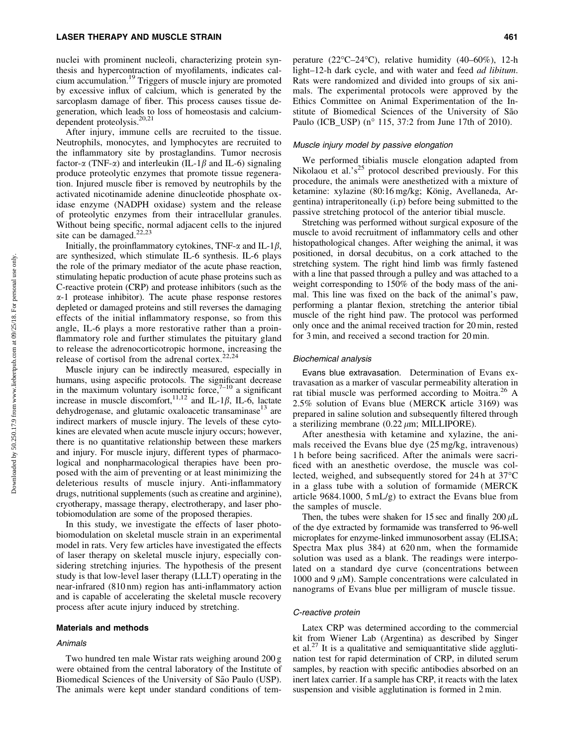nuclei with prominent nucleoli, characterizing protein synthesis and hypercontraction of myofilaments, indicates calcium accumulation.<sup>19</sup> Triggers of muscle injury are promoted by excessive influx of calcium, which is generated by the sarcoplasm damage of fiber. This process causes tissue degeneration, which leads to loss of homeostasis and calciumdependent proteolysis.<sup>20,21</sup>

After injury, immune cells are recruited to the tissue. Neutrophils, monocytes, and lymphocytes are recruited to the inflammatory site by prostaglandins. Tumor necrosis factor- $\alpha$  (TNF- $\alpha$ ) and interleukin (IL-1 $\beta$  and IL-6) signaling produce proteolytic enzymes that promote tissue regeneration. Injured muscle fiber is removed by neutrophils by the activated nicotinamide adenine dinucleotide phosphate oxidase enzyme (NADPH oxidase) system and the release of proteolytic enzymes from their intracellular granules. Without being specific, normal adjacent cells to the injured site can be damaged. $22,23$ 

Initially, the proinflammatory cytokines, TNF- $\alpha$  and IL-1 $\beta$ , are synthesized, which stimulate IL-6 synthesis. IL-6 plays the role of the primary mediator of the acute phase reaction, stimulating hepatic production of acute phase proteins such as C-reactive protein (CRP) and protease inhibitors (such as the  $\alpha$ -1 protease inhibitor). The acute phase response restores depleted or damaged proteins and still reverses the damaging effects of the initial inflammatory response, so from this angle, IL-6 plays a more restorative rather than a proinflammatory role and further stimulates the pituitary gland to release the adrenocorticotropic hormone, increasing the release of cortisol from the adrenal cortex.<sup>22,24</sup>

Muscle injury can be indirectly measured, especially in humans, using aspecific protocols. The significant decrease in the maximum voluntary isometric force, $7^{-10}$  a significant increase in muscle discomfort, <sup>11,12</sup> and IL-1 $\beta$ , IL-6, lactate dehydrogenase, and glutamic oxaloacetic transaminase $^{13}$  are indirect markers of muscle injury. The levels of these cytokines are elevated when acute muscle injury occurs; however, there is no quantitative relationship between these markers and injury. For muscle injury, different types of pharmacological and nonpharmacological therapies have been proposed with the aim of preventing or at least minimizing the deleterious results of muscle injury. Anti-inflammatory drugs, nutritional supplements (such as creatine and arginine), cryotherapy, massage therapy, electrotherapy, and laser photobiomodulation are some of the proposed therapies.

In this study, we investigate the effects of laser photobiomodulation on skeletal muscle strain in an experimental model in rats. Very few articles have investigated the effects of laser therapy on skeletal muscle injury, especially considering stretching injuries. The hypothesis of the present study is that low-level laser therapy (LLLT) operating in the near-infrared (810 nm) region has anti-inflammatory action and is capable of accelerating the skeletal muscle recovery process after acute injury induced by stretching.

#### Materials and methods

#### Animals

Two hundred ten male Wistar rats weighing around 200 g were obtained from the central laboratory of the Institute of Biomedical Sciences of the University of São Paulo (USP). The animals were kept under standard conditions of tem-

perature (22°C–24°C), relative humidity (40–60%), 12-h light–12-h dark cycle, and with water and feed *ad libitum*. Rats were randomized and divided into groups of six animals. The experimental protocols were approved by the Ethics Committee on Animal Experimentation of the Institute of Biomedical Sciences of the University of São Paulo (ICB\_USP) ( $n^{\circ}$  115, 37:2 from June 17th of 2010).

#### Muscle injury model by passive elongation

We performed tibialis muscle elongation adapted from Nikolaou et al.'s<sup>25</sup> protocol described previously. For this procedure, the animals were anesthetized with a mixture of ketamine: xylazine (80:16 mg/kg; König, Avellaneda, Argentina) intraperitoneally (i.p) before being submitted to the passive stretching protocol of the anterior tibial muscle.

Stretching was performed without surgical exposure of the muscle to avoid recruitment of inflammatory cells and other histopathological changes. After weighing the animal, it was positioned, in dorsal decubitus, on a cork attached to the stretching system. The right hind limb was firmly fastened with a line that passed through a pulley and was attached to a weight corresponding to 150% of the body mass of the animal. This line was fixed on the back of the animal's paw, performing a plantar flexion, stretching the anterior tibial muscle of the right hind paw. The protocol was performed only once and the animal received traction for 20 min, rested for 3 min, and received a second traction for 20 min.

#### Biochemical analysis

Evans blue extravasation. Determination of Evans extravasation as a marker of vascular permeability alteration in rat tibial muscle was performed according to Moitra.<sup>26</sup> A 2.5% solution of Evans blue (MERCK article 3169) was prepared in saline solution and subsequently filtered through a sterilizing membrane  $(0.22 \mu m; \text{MILLIPORE}).$ 

After anesthesia with ketamine and xylazine, the animals received the Evans blue dye (25 mg/kg, intravenous) 1 h before being sacrificed. After the animals were sacrificed with an anesthetic overdose, the muscle was collected, weighed, and subsequently stored for 24h at 37°C in a glass tube with a solution of formamide (MERCK article 9684.1000, 5 mL/g) to extract the Evans blue from the samples of muscle.

Then, the tubes were shaken for 15 sec and finally  $200 \mu L$ of the dye extracted by formamide was transferred to 96-well microplates for enzyme-linked immunosorbent assay (ELISA; Spectra Max plus 384) at 620 nm, when the formamide solution was used as a blank. The readings were interpolated on a standard dye curve (concentrations between 1000 and 9  $\mu$ M). Sample concentrations were calculated in nanograms of Evans blue per milligram of muscle tissue.

#### C-reactive protein

Latex CRP was determined according to the commercial kit from Wiener Lab (Argentina) as described by Singer et al.<sup>27</sup> It is a qualitative and semiquantitative slide agglutination test for rapid determination of CRP, in diluted serum samples, by reaction with specific antibodies absorbed on an inert latex carrier. If a sample has CRP, it reacts with the latex suspension and visible agglutination is formed in 2 min.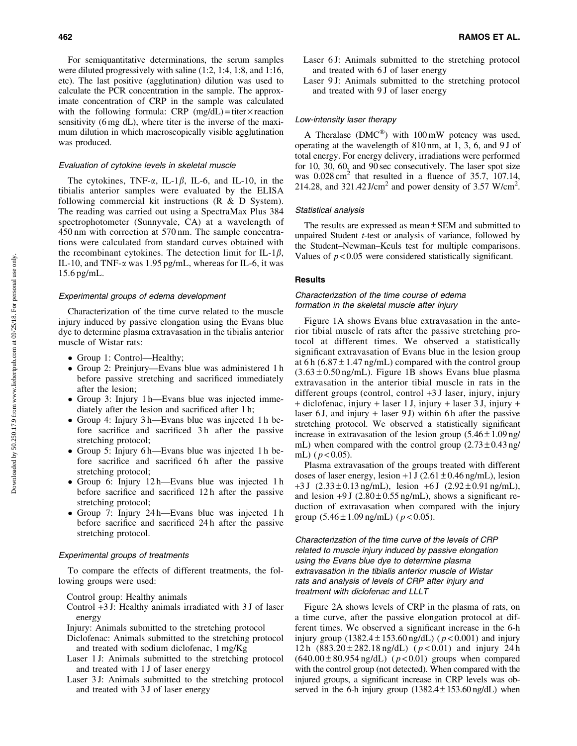For semiquantitative determinations, the serum samples were diluted progressively with saline (1:2, 1:4, 1:8, and 1:16, etc). The last positive (agglutination) dilution was used to calculate the PCR concentration in the sample. The approximate concentration of CRP in the sample was calculated with the following formula: CRP  $(mg/dL) =$  titer  $\times$  reaction sensitivity (6 mg dL), where titer is the inverse of the maximum dilution in which macroscopically visible agglutination was produced.

#### Evaluation of cytokine levels in skeletal muscle

The cytokines, TNF- $\alpha$ , IL-1 $\beta$ , IL-6, and IL-10, in the tibialis anterior samples were evaluated by the ELISA following commercial kit instructions (R & D System). The reading was carried out using a SpectraMax Plus 384 spectrophotometer (Sunnyvale, CA) at a wavelength of 450 nm with correction at 570 nm. The sample concentrations were calculated from standard curves obtained with the recombinant cytokines. The detection limit for IL-1 $\beta$ , IL-10, and TNF-a was 1.95 pg/mL, whereas for IL-6, it was 15.6 pg/mL.

#### Experimental groups of edema development

Characterization of the time curve related to the muscle injury induced by passive elongation using the Evans blue dye to determine plasma extravasation in the tibialis anterior muscle of Wistar rats:

- Group 1: Control—Healthy;
- Group 2: Preinjury—Evans blue was administered 1 h before passive stretching and sacrificed immediately after the lesion;
- Group 3: Injury 1 h—Evans blue was injected immediately after the lesion and sacrificed after 1 h;
- Group 4: Injury 3 h—Evans blue was injected 1 h before sacrifice and sacrificed 3h after the passive stretching protocol;
- Group 5: Injury 6 h—Evans blue was injected 1 h before sacrifice and sacrificed 6h after the passive stretching protocol;
- Group 6: Injury 12 h—Evans blue was injected 1 h before sacrifice and sacrificed 12 h after the passive stretching protocol;
- Group 7: Injury 24 h—Evans blue was injected 1 h before sacrifice and sacrificed 24 h after the passive stretching protocol.

#### Experimental groups of treatments

To compare the effects of different treatments, the following groups were used:

Control group: Healthy animals

Control +3 J: Healthy animals irradiated with 3 J of laser energy

Injury: Animals submitted to the stretching protocol

- Diclofenac: Animals submitted to the stretching protocol and treated with sodium diclofenac, 1 mg/Kg
- Laser 1 J: Animals submitted to the stretching protocol and treated with 1 J of laser energy
- Laser 3 J: Animals submitted to the stretching protocol and treated with 3 J of laser energy
- Laser 6 J: Animals submitted to the stretching protocol and treated with 6 J of laser energy
- Laser 9 J: Animals submitted to the stretching protocol and treated with 9 J of laser energy

#### Low-intensity laser therapy

A Theralase ( $DMC^{\circledast}$ ) with 100 mW potency was used, operating at the wavelength of 810 nm, at 1, 3, 6, and 9 J of total energy. For energy delivery, irradiations were performed for 10, 30, 60, and 90 sec consecutively. The laser spot size was  $0.028 \text{ cm}^2$  that resulted in a fluence of 35.7, 107.14, 214.28, and 321.42 J/cm<sup>2</sup> and power density of 3.57 W/cm<sup>2</sup>.

#### Statistical analysis

The results are expressed as mean  $\pm$  SEM and submitted to unpaired Student *t*-test or analysis of variance, followed by the Student–Newman–Keuls test for multiple comparisons. Values of *p* < 0.05 were considered statistically significant.

#### **Results**

#### Characterization of the time course of edema formation in the skeletal muscle after injury

Figure 1A shows Evans blue extravasation in the anterior tibial muscle of rats after the passive stretching protocol at different times. We observed a statistically significant extravasation of Evans blue in the lesion group at 6 h ( $6.87 \pm 1.47$  ng/mL) compared with the control group  $(3.63 \pm 0.50 \text{ ng/mL})$ . Figure 1B shows Evans blue plasma extravasation in the anterior tibial muscle in rats in the different groups (control, control +3 J laser, injury, injury + diclofenac, injury + laser 1 J, injury + laser 3 J, injury + laser 6 J, and injury + laser 9 J) within 6 h after the passive stretching protocol. We observed a statistically significant increase in extravasation of the lesion group  $(5.46 \pm 1.09 \text{ ng/m})$ mL) when compared with the control group  $(2.73 \pm 0.43 \text{ ng/m})$ mL) ( $p < 0.05$ ).

Plasma extravasation of the groups treated with different doses of laser energy, lesion +1 J  $(2.61 \pm 0.46 \text{ ng/mL})$ , lesion  $+3 J$  (2.33  $\pm$  0.13 ng/mL), lesion  $+6 J$  (2.92  $\pm$  0.91 ng/mL), and lesion  $+9$  J (2.80  $\pm$  0.55 ng/mL), shows a significant reduction of extravasation when compared with the injury group  $(5.46 \pm 1.09 \text{ ng/mL})$  ( $p < 0.05$ ).

Characterization of the time curve of the levels of CRP related to muscle injury induced by passive elongation using the Evans blue dye to determine plasma extravasation in the tibialis anterior muscle of Wistar rats and analysis of levels of CRP after injury and treatment with diclofenac and LLLT

Figure 2A shows levels of CRP in the plasma of rats, on a time curve, after the passive elongation protocol at different times. We observed a significant increase in the 6-h injury group  $(1382.4 \pm 153.60 \text{ ng/dL})$  ( $p < 0.001$ ) and injury 12 h  $(883.20 \pm 282.18 \text{ ng/dL})$  ( $p < 0.01$ ) and injury 24 h  $(640.00 \pm 80.954 \text{ ng/dL})$  ( $p < 0.01$ ) groups when compared with the control group (not detected). When compared with the injured groups, a significant increase in CRP levels was observed in the 6-h injury group  $(1382.4 \pm 153.60 \text{ ng/dL})$  when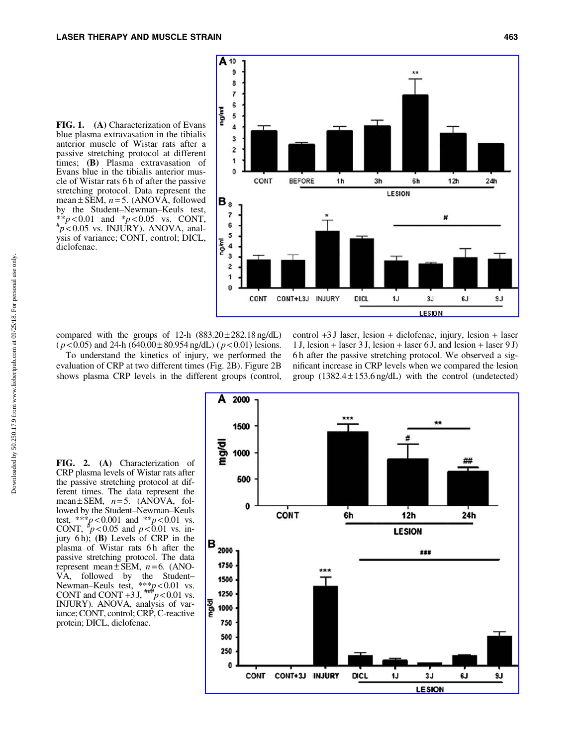



compared with the groups of 12-h  $(883.20 \pm 282.18 \text{ ng/dL})$  $(p<0.05)$  and 24-h  $(640.00 \pm 80.954 \text{ ng/dL}) (p<0.01)$  lesions. To understand the kinetics of injury, we performed the evaluation of CRP at two different times (Fig. 2B). Figure 2B shows plasma CRP levels in the different groups (control,

control +3 J laser, lesion + diclofenac, injury, lesion + laser 1 J, lesion + laser 3 J, lesion + laser 6 J, and lesion + laser 9 J) 6 h after the passive stretching protocol. We observed a significant increase in CRP levels when we compared the lesion group  $(1382.4 \pm 153.6 \text{ ng/dL})$  with the control (undetected)

FIG. 2. (A) Characterization of CRP plasma levels of Wistar rats after the passive stretching protocol at different times. The data represent the mean $\pm$  SEM,  $n=5$ . (ANOVA, followed by the Student–Newman–Keuls test, \*\*\**p* < 0.001 and \*\**p* < 0.01 vs. **CONT**,  $^{4}p < 0.05$  and  $p < 0.01$  vs. injury 6 h); (B) Levels of CRP in the plasma of Wistar rats 6h after the passive stretching protocol. The data represent mean  $\pm$  SEM,  $n=6$ . (ANO-VA, followed by the Student– Newman–Keuls test, \*\*\**p* < 0.01 vs.<br>CONT and CONT +3 J,  $^{***}p$  < 0.01 vs. INJURY). ANOVA, analysis of variance; CONT, control; CRP, C-reactive protein; DICL, diclofenac.

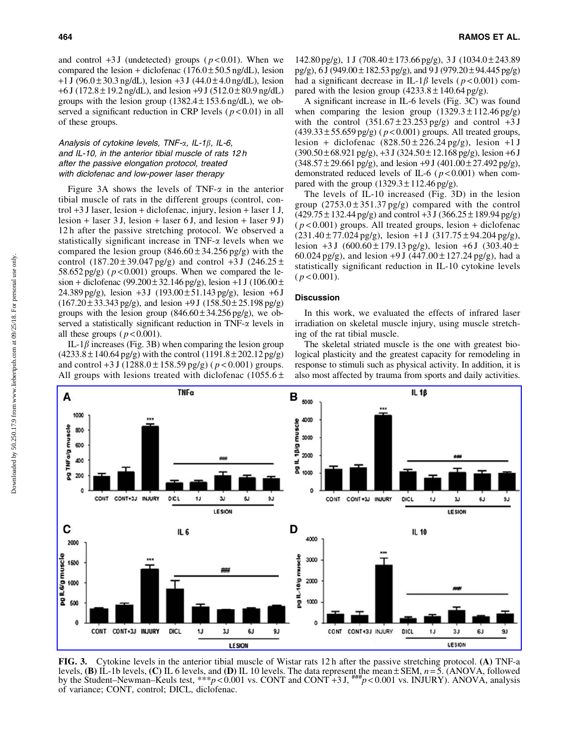and control  $+3$  J (undetected) groups ( $p < 0.01$ ). When we compared the lesion + diclofenac  $(176.0 \pm 50.5 \text{ ng/dL})$ , lesion  $+1$  J (96.0  $\pm$  30.3 ng/dL), lesion  $+3$  J (44.0  $\pm$  4.0 ng/dL), lesion  $+6$  J (172.8  $\pm$  19.2 ng/dL), and lesion  $+9$  J (512.0  $\pm$  80.9 ng/dL) groups with the lesion group  $(1382.4 \pm 153.6 \text{ ng/dL})$ , we observed a significant reduction in CRP levels  $(p<0.01)$  in all of these groups.

## Analysis of cytokine levels, TNF- $\alpha$ , IL-1 $\beta$ , IL-6, and IL-10, in the anterior tibial muscle of rats 12 h after the passive elongation protocol, treated with diclofenac and low-power laser therapy

Figure 3A shows the levels of TNF- $\alpha$  in the anterior tibial muscle of rats in the different groups (control, control +3 J laser, lesion + diclofenac, injury, lesion + laser 1 J, lesion + laser 3 J, lesion + laser 6 J, and lesion + laser 9 J) 12 h after the passive stretching protocol. We observed a statistically significant increase in  $TNF-\alpha$  levels when we compared the lesion group  $(846.60 \pm 34.256 \text{ pg/g})$  with the control  $(187.20 \pm 39.047 \text{ pg/g})$  and control  $+3$  J  $(246.25 \pm$ 58.652 pg/g) ( $p < 0.001$ ) groups. When we compared the lesion + diclofenac (99.200 $\pm$ 32.146 pg/g), lesion +1 J (106.00 $\pm$ 24.389 pg/g), lesion  $+3 J$  (193.00  $\pm$  51.143 pg/g), lesion  $+6 J$  $(167.20 \pm 33.343 \text{ pg/g})$ , and lesion +9 J  $(158.50 \pm 25.198 \text{ pg/g})$ groups with the lesion group  $(846.60 \pm 34.256 \text{ pg/g})$ , we observed a statistically significant reduction in  $TNF-\alpha$  levels in all these groups  $(p < 0.001)$ .

IL-1 $\beta$  increases (Fig. 3B) when comparing the lesion group  $(4233.8 \pm 140.64 \text{ pg/g})$  with the control  $(1191.8 \pm 202.12 \text{ pg/g})$ and control  $+3$  J (1288.0  $\pm$  158.59 pg/g) ( $p$  < 0.001) groups. All groups with lesions treated with diclofenac  $(1055.6 \pm 100)$   $142.80 \text{ pg/g}$ , 1 J (708.40 ± 173.66 pg/g), 3 J (1034.0 ± 243.89 pg/g),  $6 J (949.00 \pm 182.53 \text{ pg/g})$ , and  $9 J (979.20 \pm 94.445 \text{ pg/g})$ had a significant decrease in IL-1 $\beta$  levels ( $p < 0.001$ ) compared with the lesion group  $(4233.8 \pm 140.64 \text{ pg/g}).$ 

A significant increase in IL-6 levels (Fig. 3C) was found when comparing the lesion group  $(1329.3 \pm 112.46 \text{ pg/g})$ with the control  $(351.67 \pm 23.253 \text{ pg/g})$  and control  $+3 \text{ J}$  $(439.33 \pm 55.659 \text{ pg/g})$  ( $p < 0.001$ ) groups. All treated groups, lesion + diclofenac  $(828.50 \pm 226.24 \text{ pg/g})$ , lesion +1 J  $(390.50 \pm 68.921 \text{ pg/g})$ ,  $+3 \text{ J}$   $(324.50 \pm 12.168 \text{ pg/g})$ , lesion  $+6 \text{ J}$  $(348.57 \pm 29.661 \text{ pg/g})$ , and lesion +9 J  $(401.00 \pm 27.492 \text{ pg/g})$ , demonstrated reduced levels of IL-6 ( *p* < 0.001) when compared with the group  $(1329.3 \pm 112.46 \text{ pg/g}).$ 

The levels of IL-10 increased (Fig. 3D) in the lesion group  $(2753.0 \pm 351.37 \text{ pg/g})$  compared with the control  $(429.75 \pm 132.44 \text{ pg/g})$  and control +3 J  $(366.25 \pm 189.94 \text{ pg/g})$  $(p<0.001)$  groups. All treated groups, lesion + diclofenac  $(231.40 \pm 77.024 \text{ pg/g})$ , lesion +1 J  $(317.75 \pm 94.204 \text{ pg/g})$ , lesion  $+3$  J (600.60  $\pm$  179.13 pg/g), lesion  $+6$  J (303.40  $\pm$ 60.024 pg/g), and lesion  $+9$  J (447.00  $\pm$  127.24 pg/g), had a statistically significant reduction in IL-10 cytokine levels  $(p < 0.001)$ .

#### **Discussion**

In this work, we evaluated the effects of infrared laser irradiation on skeletal muscle injury, using muscle stretching of the rat tibial muscle.

The skeletal striated muscle is the one with greatest biological plasticity and the greatest capacity for remodeling in response to stimuli such as physical activity. In addition, it is also most affected by trauma from sports and daily activities.



FIG. 3. Cytokine levels in the anterior tibial muscle of Wistar rats 12 h after the passive stretching protocol. (A) TNF-a levels,  $(B)$  IL-1b levels,  $(C)$  IL 6 levels, and  $(D)$  IL 10 levels. The data represent the mean  $\pm$  SEM,  $n=5$ . (ANOVA, followed by the Student–Newman–Keuls test, \*\*\**p* < 0.001 vs. CONT and CONT +3 J,  $^{\text{mm}}p$  < 0.001 vs. INJURY). ANOVA, analysis of variance; CONT, control; DICL, diclofenac.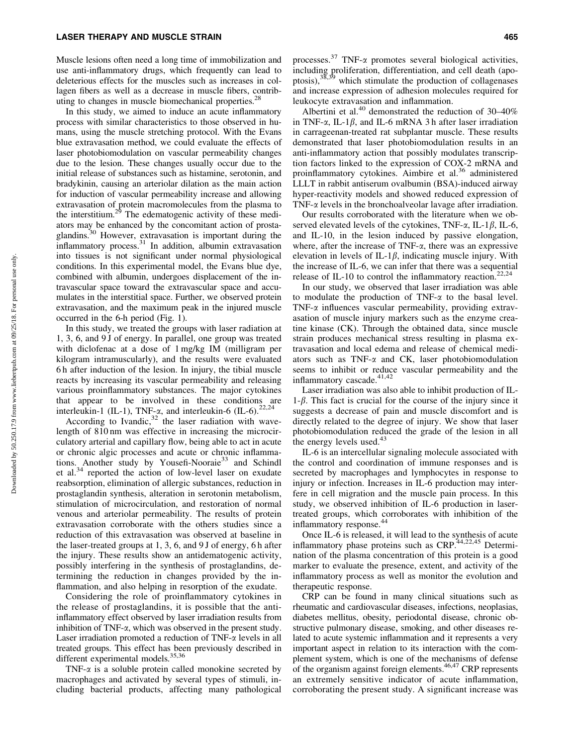Muscle lesions often need a long time of immobilization and use anti-inflammatory drugs, which frequently can lead to deleterious effects for the muscles such as increases in collagen fibers as well as a decrease in muscle fibers, contributing to changes in muscle biomechanical properties.<sup>28</sup>

In this study, we aimed to induce an acute inflammatory process with similar characteristics to those observed in humans, using the muscle stretching protocol. With the Evans blue extravasation method, we could evaluate the effects of laser photobiomodulation on vascular permeability changes due to the lesion. These changes usually occur due to the initial release of substances such as histamine, serotonin, and bradykinin, causing an arteriolar dilation as the main action for induction of vascular permeability increase and allowing extravasation of protein macromolecules from the plasma to the interstitium.<sup>29</sup> The edematogenic activity of these mediators may be enhanced by the concomitant action of prostaglandins.<sup>30</sup> However, extravasation is important during the inflammatory process.31 In addition, albumin extravasation into tissues is not significant under normal physiological conditions. In this experimental model, the Evans blue dye, combined with albumin, undergoes displacement of the intravascular space toward the extravascular space and accumulates in the interstitial space. Further, we observed protein extravasation, and the maximum peak in the injured muscle occurred in the 6-h period (Fig. 1).

In this study, we treated the groups with laser radiation at 1, 3, 6, and 9 J of energy. In parallel, one group was treated with diclofenac at a dose of 1 mg/kg IM (milligram per kilogram intramuscularly), and the results were evaluated 6 h after induction of the lesion. In injury, the tibial muscle reacts by increasing its vascular permeability and releasing various proinflammatory substances. The major cytokines that appear to be involved in these conditions are interleukin-1 (IL-1), TNF- $\alpha$ , and interleukin-6 (IL-6).<sup>22,24</sup>

According to Ivandic, $32$  the laser radiation with wavelength of 810 nm was effective in increasing the microcirculatory arterial and capillary flow, being able to act in acute or chronic algic processes and acute or chronic inflammations. Another study by Yousefi-Nooraie<sup>33</sup> and Schindl et al.<sup>34</sup> reported the action of low-level laser on exudate reabsorption, elimination of allergic substances, reduction in prostaglandin synthesis, alteration in serotonin metabolism, stimulation of microcirculation, and restoration of normal venous and arteriolar permeability. The results of protein extravasation corroborate with the others studies since a reduction of this extravasation was observed at baseline in the laser-treated groups at 1, 3, 6, and 9 J of energy, 6 h after the injury. These results show an antidematogenic activity, possibly interfering in the synthesis of prostaglandins, determining the reduction in changes provided by the inflammation, and also helping in resorption of the exudate.

Considering the role of proinflammatory cytokines in the release of prostaglandins, it is possible that the antiinflammatory effect observed by laser irradiation results from inhibition of TNF-a, which was observed in the present study. Laser irradiation promoted a reduction of  $TNF-\alpha$  levels in all treated groups. This effect has been previously described in different experimental models.<sup>35,36</sup>

TNF- $\alpha$  is a soluble protein called monokine secreted by macrophages and activated by several types of stimuli, including bacterial products, affecting many pathological processes. $37$  TNF- $\alpha$  promotes several biological activities, including proliferation, differentiation, and cell death (apoptosis),<sup>38,39</sup> which stimulate the production of collagenases and increase expression of adhesion molecules required for leukocyte extravasation and inflammation.

Albertini et al.<sup>40</sup> demonstrated the reduction of  $30-40\%$ in TNF- $\alpha$ , IL-1 $\beta$ , and IL-6 mRNA 3 h after laser irradiation in carrageenan-treated rat subplantar muscle. These results demonstrated that laser photobiomodulation results in an anti-inflammatory action that possibly modulates transcription factors linked to the expression of COX-2 mRNA and proinflammatory cytokines. Aimbire et al.<sup>36</sup> administered LLLT in rabbit antiserum ovalbumin (BSA)-induced airway hyper-reactivity models and showed reduced expression of TNF- $\alpha$  levels in the bronchoalveolar lavage after irradiation.

Our results corroborated with the literature when we observed elevated levels of the cytokines, TNF- $\alpha$ , IL-1 $\beta$ , IL-6, and IL-10, in the lesion induced by passive elongation, where, after the increase of  $TNF-\alpha$ , there was an expressive elevation in levels of IL-1 $\beta$ , indicating muscle injury. With the increase of IL-6, we can infer that there was a sequential release of IL-10 to control the inflammatory reaction.<sup>22,24</sup>

In our study, we observed that laser irradiation was able to modulate the production of TNF-a to the basal level. TNF- $\alpha$  influences vascular permeability, providing extravasation of muscle injury markers such as the enzyme creatine kinase (CK). Through the obtained data, since muscle strain produces mechanical stress resulting in plasma extravasation and local edema and release of chemical mediators such as TNF-a and CK, laser photobiomodulation seems to inhibit or reduce vascular permeability and the inflammatory cascade.<sup>41,42</sup>

Laser irradiation was also able to inhibit production of IL- $1-\beta$ . This fact is crucial for the course of the injury since it suggests a decrease of pain and muscle discomfort and is directly related to the degree of injury. We show that laser photobiomodulation reduced the grade of the lesion in all the energy levels used.<sup>43</sup>

IL-6 is an intercellular signaling molecule associated with the control and coordination of immune responses and is secreted by macrophages and lymphocytes in response to injury or infection. Increases in IL-6 production may interfere in cell migration and the muscle pain process. In this study, we observed inhibition of IL-6 production in lasertreated groups, which corroborates with inhibition of the inflammatory response.<sup>44</sup>

Once IL-6 is released, it will lead to the synthesis of acute inflammatory phase proteins such as CRP.<sup>44,22,45</sup> Determination of the plasma concentration of this protein is a good marker to evaluate the presence, extent, and activity of the inflammatory process as well as monitor the evolution and therapeutic response.

CRP can be found in many clinical situations such as rheumatic and cardiovascular diseases, infections, neoplasias, diabetes mellitus, obesity, periodontal disease, chronic obstructive pulmonary disease, smoking, and other diseases related to acute systemic inflammation and it represents a very important aspect in relation to its interaction with the complement system, which is one of the mechanisms of defense of the organism against foreign elements.<sup>46,47</sup> CRP represents an extremely sensitive indicator of acute inflammation, corroborating the present study. A significant increase was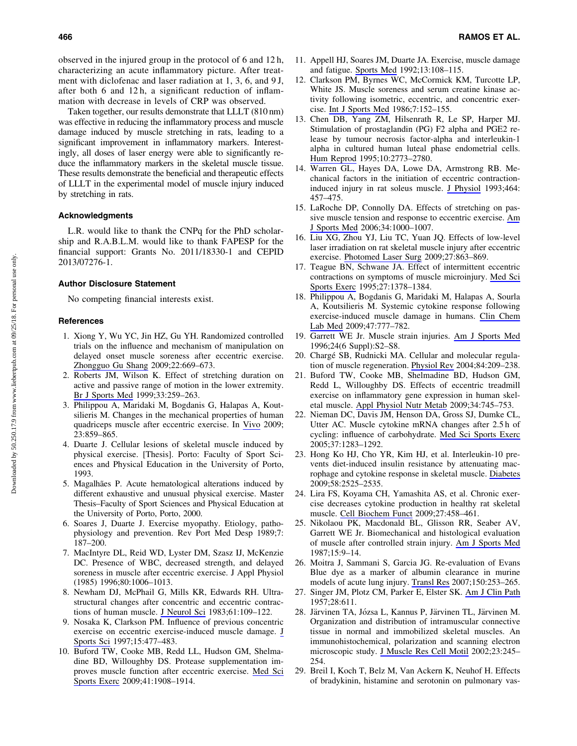observed in the injured group in the protocol of 6 and 12 h, characterizing an acute inflammatory picture. After treatment with diclofenac and laser radiation at 1, 3, 6, and 9 J, after both 6 and 12 h, a significant reduction of inflammation with decrease in levels of CRP was observed.

Taken together, our results demonstrate that LLLT (810 nm) was effective in reducing the inflammatory process and muscle damage induced by muscle stretching in rats, leading to a significant improvement in inflammatory markers. Interestingly, all doses of laser energy were able to significantly reduce the inflammatory markers in the skeletal muscle tissue. These results demonstrate the beneficial and therapeutic effects of LLLT in the experimental model of muscle injury induced by stretching in rats.

### Acknowledgments

L.R. would like to thank the CNPq for the PhD scholarship and R.A.B.L.M. would like to thank FAPESP for the financial support: Grants No. 2011/18330-1 and CEPID 2013/07276-1.

#### Author Disclosure Statement

No competing financial interests exist.

#### **References**

- 1. Xiong Y, Wu YC, Jin HZ, Gu YH. Randomized controlled trials on the influence and mechanism of manipulation on delayed onset muscle soreness after eccentric exercise. [Zhongguo Gu Shang](https://www.liebertpub.com/action/showLinks?doi=10.1089%2Fpho.2018.4473&pmid=19817197&citationId=p_33) 2009;22:669–673.
- 2. Roberts JM, Wilson K. Effect of stretching duration on active and passive range of motion in the lower extremity. [Br J Sports Med](https://www.liebertpub.com/action/showLinks?doi=10.1089%2Fpho.2018.4473&pmid=10450481&crossref=10.1136%2Fbjsm.33.4.259&citationId=p_34) 1999;33:259–263.
- 3. Philippou A, Maridaki M, Bogdanis G, Halapas A, Koutsilieris M. Changes in the mechanical properties of human quadriceps muscle after eccentric exercise. In [Vivo](https://www.liebertpub.com/action/showLinks?doi=10.1089%2Fpho.2018.4473&pmid=19779124&citationId=p_35) 2009; 23:859–865.
- 4. Duarte J. Cellular lesions of skeletal muscle induced by physical exercise. [Thesis]. Porto: Faculty of Sport Sciences and Physical Education in the University of Porto, 1993.
- 5. Magalhães P. Acute hematological alterations induced by different exhaustive and unusual physical exercise. Master Thesis–Faculty of Sport Sciences and Physical Education at the University of Porto, Porto, 2000.
- 6. Soares J, Duarte J. Exercise myopathy. Etiology, pathophysiology and prevention. Rev Port Med Desp 1989;7: 187–200.
- 7. MacIntyre DL, Reid WD, Lyster DM, Szasz IJ, McKenzie DC. Presence of WBC, decreased strength, and delayed soreness in muscle after eccentric exercise. J Appl Physiol (1985) 1996;80:1006–1013.
- 8. Newham DJ, McPhail G, Mills KR, Edwards RH. Ultrastructural changes after concentric and eccentric contrac-tions of human muscle. [J Neurol Sci](https://www.liebertpub.com/action/showLinks?doi=10.1089%2Fpho.2018.4473&pmid=6631446&crossref=10.1016%2F0022-510X%2883%2990058-8&citationId=p_40) 1983;61:109-122.
- 9. Nosaka K, Clarkson PM. Influence of previous concentric exercise on eccentric exercise-induced muscle damage. [J](https://www.liebertpub.com/action/showLinks?doi=10.1089%2Fpho.2018.4473&pmid=9386205&crossref=10.1080%2F026404197367119&citationId=p_41) [Sports Sci](https://www.liebertpub.com/action/showLinks?doi=10.1089%2Fpho.2018.4473&pmid=9386205&crossref=10.1080%2F026404197367119&citationId=p_41) 1997;15:477–483.
- 10. Buford TW, Cooke MB, Redd LL, Hudson GM, Shelmadine BD, Willoughby DS. Protease supplementation improves muscle function after eccentric exercise. [Med Sci](https://www.liebertpub.com/action/showLinks?doi=10.1089%2Fpho.2018.4473&pmid=19727022&crossref=10.1249%2FMSS.0b013e3181a518f0&citationId=p_42) [Sports Exerc](https://www.liebertpub.com/action/showLinks?doi=10.1089%2Fpho.2018.4473&pmid=19727022&crossref=10.1249%2FMSS.0b013e3181a518f0&citationId=p_42) 2009;41:1908–1914.
- 11. Appell HJ, Soares JM, Duarte JA. Exercise, muscle damage and fatigue. [Sports Med](https://www.liebertpub.com/action/showLinks?doi=10.1089%2Fpho.2018.4473&pmid=1561506&crossref=10.2165%2F00007256-199213020-00006&citationId=p_43) 1992;13:108–115.
- 12. Clarkson PM, Byrnes WC, McCormick KM, Turcotte LP, White JS. Muscle soreness and serum creatine kinase activity following isometric, eccentric, and concentric exercise. [Int J Sports Med](https://www.liebertpub.com/action/showLinks?doi=10.1089%2Fpho.2018.4473&pmid=3733311&crossref=10.1055%2Fs-2008-1025753&citationId=p_44) 1986;7:152–155.
- 13. Chen DB, Yang ZM, Hilsenrath R, Le SP, Harper MJ. Stimulation of prostaglandin (PG) F2 alpha and PGE2 release by tumour necrosis factor-alpha and interleukin-1 alpha in cultured human luteal phase endometrial cells. [Hum Reprod](https://www.liebertpub.com/action/showLinks?doi=10.1089%2Fpho.2018.4473&pmid=8567812&crossref=10.1093%2Foxfordjournals.humrep.a135790&citationId=p_45) 1995;10:2773–2780.
- 14. Warren GL, Hayes DA, Lowe DA, Armstrong RB. Mechanical factors in the initiation of eccentric contractioninduced injury in rat soleus muscle. [J Physiol](https://www.liebertpub.com/action/showLinks?doi=10.1089%2Fpho.2018.4473&pmid=8229813&crossref=10.1113%2Fjphysiol.1993.sp019645&citationId=p_46) 1993;464: 457–475.
- 15. LaRoche DP, Connolly DA. Effects of stretching on passive muscle tension and response to eccentric exercise. [Am](https://www.liebertpub.com/action/showLinks?doi=10.1089%2Fpho.2018.4473&pmid=16476913&crossref=10.1177%2F0363546505284238&citationId=p_47) [J Sports Med](https://www.liebertpub.com/action/showLinks?doi=10.1089%2Fpho.2018.4473&pmid=16476913&crossref=10.1177%2F0363546505284238&citationId=p_47) 2006;34:1000–1007.
- 16. Liu XG, Zhou YJ, Liu TC, Yuan JQ. Effects of low-level laser irradiation on rat skeletal muscle injury after eccentric exercise. [Photomed Laser Surg](https://www.liebertpub.com/action/showLinks?doi=10.1089%2Fpho.2018.4473&system=10.1089%2Fpho.2008.2443&citationId=p_48) 2009;27:863–869.
- 17. Teague BN, Schwane JA. Effect of intermittent eccentric contractions on symptoms of muscle microinjury. [Med Sci](https://www.liebertpub.com/action/showLinks?doi=10.1089%2Fpho.2018.4473&pmid=8531608&crossref=10.1249%2F00005768-199510000-00005&citationId=p_49) [Sports Exerc](https://www.liebertpub.com/action/showLinks?doi=10.1089%2Fpho.2018.4473&pmid=8531608&crossref=10.1249%2F00005768-199510000-00005&citationId=p_49) 1995;27:1378–1384.
- 18. Philippou A, Bogdanis G, Maridaki M, Halapas A, Sourla A, Koutsilieris M. Systemic cytokine response following exercise-induced muscle damage in humans. [Clin Chem](https://www.liebertpub.com/action/showLinks?doi=10.1089%2Fpho.2018.4473&pmid=19445648&crossref=10.1515%2FCCLM.2009.163&citationId=p_50) [Lab Med](https://www.liebertpub.com/action/showLinks?doi=10.1089%2Fpho.2018.4473&pmid=19445648&crossref=10.1515%2FCCLM.2009.163&citationId=p_50) 2009;47:777–782.
- 19. Garrett WE Jr. Muscle strain injuries. [Am J Sports Med](https://www.liebertpub.com/action/showLinks?doi=10.1089%2Fpho.2018.4473&crossref=10.1177%2F036354659602406S02&citationId=p_51) 1996;24(6 Suppl):S2–S8.
- 20. Chargé SB, Rudnicki MA. Cellular and molecular regulation of muscle regeneration. [Physiol Rev](https://www.liebertpub.com/action/showLinks?doi=10.1089%2Fpho.2018.4473&pmid=14715915&crossref=10.1152%2Fphysrev.00019.2003&citationId=p_52) 2004;84:209–238.
- 21. Buford TW, Cooke MB, Shelmadine BD, Hudson GM, Redd L, Willoughby DS. Effects of eccentric treadmill exercise on inflammatory gene expression in human skeletal muscle. [Appl Physiol Nutr Metab](https://www.liebertpub.com/action/showLinks?doi=10.1089%2Fpho.2018.4473&pmid=19767811&crossref=10.1139%2FH09-067&citationId=p_53) 2009;34:745–753.
- 22. Nieman DC, Davis JM, Henson DA, Gross SJ, Dumke CL, Utter AC. Muscle cytokine mRNA changes after 2.5 h of cycling: influence of carbohydrate. [Med Sci Sports Exerc](https://www.liebertpub.com/action/showLinks?doi=10.1089%2Fpho.2018.4473&pmid=16118573&crossref=10.1249%2F01.mss.0000175054.99588.b1&citationId=p_54) 2005;37:1283–1292.
- 23. Hong Ko HJ, Cho YR, Kim HJ, et al. Interleukin-10 prevents diet-induced insulin resistance by attenuating macrophage and cytokine response in skeletal muscle. [Diabetes](https://www.liebertpub.com/action/showLinks?doi=10.1089%2Fpho.2018.4473&pmid=19690064&crossref=10.2337%2Fdb08-1261&citationId=p_55) 2009;58:2525–2535.
- 24. Lira FS, Koyama CH, Yamashita AS, et al. Chronic exercise decreases cytokine production in healthy rat skeletal muscle. [Cell Biochem Funct](https://www.liebertpub.com/action/showLinks?doi=10.1089%2Fpho.2018.4473&pmid=19681095&crossref=10.1002%2Fcbf.1594&citationId=p_56) 2009;27:458–461.
- 25. Nikolaou PK, Macdonald BL, Glisson RR, Seaber AV, Garrett WE Jr. Biomechanical and histological evaluation of muscle after controlled strain injury. [Am J Sports Med](https://www.liebertpub.com/action/showLinks?doi=10.1089%2Fpho.2018.4473&pmid=3812867&crossref=10.1177%2F036354658701500102&citationId=p_57) 1987;15:9–14.
- 26. Moitra J, Sammani S, Garcia JG. Re-evaluation of Evans Blue dye as a marker of albumin clearance in murine models of acute lung injury. [Transl Res](https://www.liebertpub.com/action/showLinks?doi=10.1089%2Fpho.2018.4473&pmid=17900513&crossref=10.1016%2Fj.trsl.2007.03.013&citationId=p_58) 2007;150:253–265.
- 27. Singer JM, Plotz CM, Parker E, Elster SK. [Am J Clin Path](https://www.liebertpub.com/action/showLinks?doi=10.1089%2Fpho.2018.4473&pmid=13508578&crossref=10.1093%2Fajcp%2F28.6.611&citationId=p_59) 1957;28:611.
- 28. Järvinen TA, Józsa L, Kannus P, Järvinen TL, Järvinen M. Organization and distribution of intramuscular connective tissue in normal and immobilized skeletal muscles. An immunohistochemical, polarization and scanning electron microscopic study. [J Muscle Res Cell Motil](https://www.liebertpub.com/action/showLinks?doi=10.1089%2Fpho.2018.4473&pmid=12500904&crossref=10.1023%2FA%3A1020904518336&citationId=p_60) 2002;23:245– 254.
- 29. Breil I, Koch T, Belz M, Van Ackern K, Neuhof H. Effects of bradykinin, histamine and serotonin on pulmonary vas-